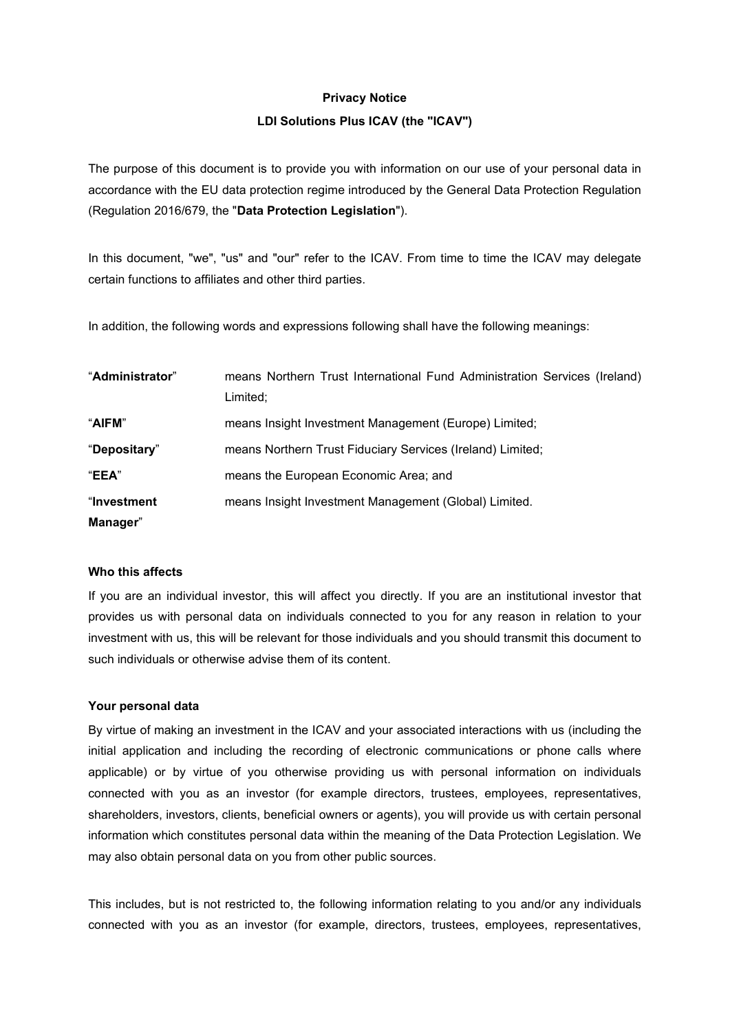#### **Privacy Notice**

## **LDI Solutions Plus ICAV (the "ICAV")**

The purpose of this document is to provide you with information on our use of your personal data in accordance with the EU data protection regime introduced by the General Data Protection Regulation (Regulation 2016/679, the "**Data Protection Legislation**").

In this document, "we", "us" and "our" refer to the ICAV. From time to time the ICAV may delegate certain functions to affiliates and other third parties.

In addition, the following words and expressions following shall have the following meanings:

| "Administrator" | means Northern Trust International Fund Administration Services (Ireland) |
|-----------------|---------------------------------------------------------------------------|
|                 | Limited;                                                                  |
| "AIFM"          | means Insight Investment Management (Europe) Limited;                     |
| "Depositary"    | means Northern Trust Fiduciary Services (Ireland) Limited;                |
| "EEA"           | means the European Economic Area; and                                     |
| "Investment     | means Insight Investment Management (Global) Limited.                     |
| Manager"        |                                                                           |

# **Who this affects**

If you are an individual investor, this will affect you directly. If you are an institutional investor that provides us with personal data on individuals connected to you for any reason in relation to your investment with us, this will be relevant for those individuals and you should transmit this document to such individuals or otherwise advise them of its content.

## **Your personal data**

By virtue of making an investment in the ICAV and your associated interactions with us (including the initial application and including the recording of electronic communications or phone calls where applicable) or by virtue of you otherwise providing us with personal information on individuals connected with you as an investor (for example directors, trustees, employees, representatives, shareholders, investors, clients, beneficial owners or agents), you will provide us with certain personal information which constitutes personal data within the meaning of the Data Protection Legislation. We may also obtain personal data on you from other public sources.

This includes, but is not restricted to, the following information relating to you and/or any individuals connected with you as an investor (for example, directors, trustees, employees, representatives,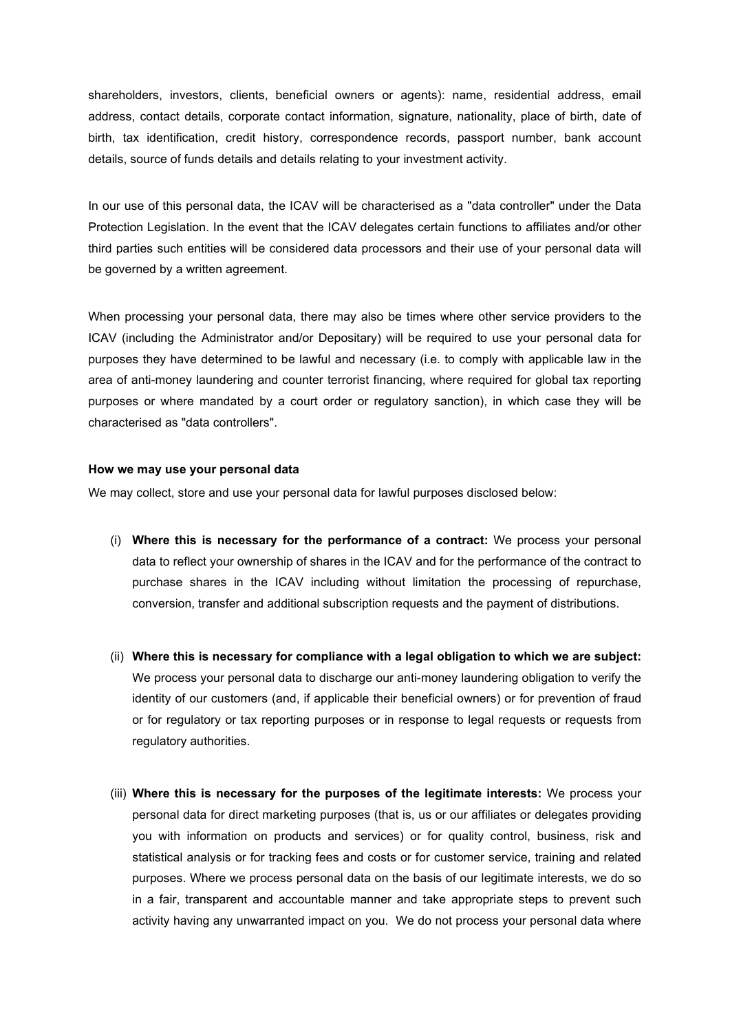shareholders, investors, clients, beneficial owners or agents): name, residential address, email address, contact details, corporate contact information, signature, nationality, place of birth, date of birth, tax identification, credit history, correspondence records, passport number, bank account details, source of funds details and details relating to your investment activity.

In our use of this personal data, the ICAV will be characterised as a "data controller" under the Data Protection Legislation. In the event that the ICAV delegates certain functions to affiliates and/or other third parties such entities will be considered data processors and their use of your personal data will be governed by a written agreement.

When processing your personal data, there may also be times where other service providers to the ICAV (including the Administrator and/or Depositary) will be required to use your personal data for purposes they have determined to be lawful and necessary (i.e. to comply with applicable law in the area of anti-money laundering and counter terrorist financing, where required for global tax reporting purposes or where mandated by a court order or regulatory sanction), in which case they will be characterised as "data controllers".

#### **How we may use your personal data**

We may collect, store and use your personal data for lawful purposes disclosed below:

- (i) **Where this is necessary for the performance of a contract:** We process your personal data to reflect your ownership of shares in the ICAV and for the performance of the contract to purchase shares in the ICAV including without limitation the processing of repurchase, conversion, transfer and additional subscription requests and the payment of distributions.
- (ii) **Where this is necessary for compliance with a legal obligation to which we are subject:** We process your personal data to discharge our anti-money laundering obligation to verify the identity of our customers (and, if applicable their beneficial owners) or for prevention of fraud or for regulatory or tax reporting purposes or in response to legal requests or requests from regulatory authorities.
- (iii) **Where this is necessary for the purposes of the legitimate interests:** We process your personal data for direct marketing purposes (that is, us or our affiliates or delegates providing you with information on products and services) or for quality control, business, risk and statistical analysis or for tracking fees and costs or for customer service, training and related purposes. Where we process personal data on the basis of our legitimate interests, we do so in a fair, transparent and accountable manner and take appropriate steps to prevent such activity having any unwarranted impact on you. We do not process your personal data where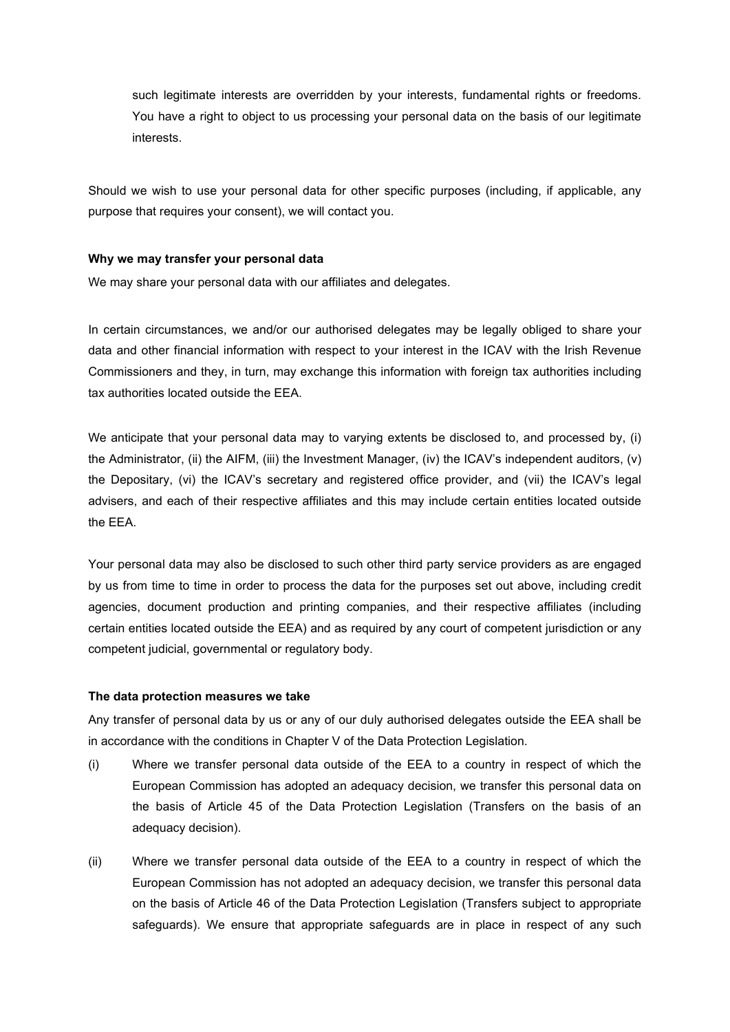such legitimate interests are overridden by your interests, fundamental rights or freedoms. You have a right to object to us processing your personal data on the basis of our legitimate interests.

Should we wish to use your personal data for other specific purposes (including, if applicable, any purpose that requires your consent), we will contact you.

## **Why we may transfer your personal data**

We may share your personal data with our affiliates and delegates.

In certain circumstances, we and/or our authorised delegates may be legally obliged to share your data and other financial information with respect to your interest in the ICAV with the Irish Revenue Commissioners and they, in turn, may exchange this information with foreign tax authorities including tax authorities located outside the EEA.

We anticipate that your personal data may to varying extents be disclosed to, and processed by, (i) the Administrator, (ii) the AIFM, (iii) the Investment Manager, (iv) the ICAV's independent auditors, (v) the Depositary, (vi) the ICAV's secretary and registered office provider, and (vii) the ICAV's legal advisers, and each of their respective affiliates and this may include certain entities located outside the EEA.

Your personal data may also be disclosed to such other third party service providers as are engaged by us from time to time in order to process the data for the purposes set out above, including credit agencies, document production and printing companies, and their respective affiliates (including certain entities located outside the EEA) and as required by any court of competent jurisdiction or any competent judicial, governmental or regulatory body.

## **The data protection measures we take**

Any transfer of personal data by us or any of our duly authorised delegates outside the EEA shall be in accordance with the conditions in Chapter V of the Data Protection Legislation.

- (i) Where we transfer personal data outside of the EEA to a country in respect of which the European Commission has adopted an adequacy decision, we transfer this personal data on the basis of Article 45 of the Data Protection Legislation (Transfers on the basis of an adequacy decision).
- (ii) Where we transfer personal data outside of the EEA to a country in respect of which the European Commission has not adopted an adequacy decision, we transfer this personal data on the basis of Article 46 of the Data Protection Legislation (Transfers subject to appropriate safeguards). We ensure that appropriate safeguards are in place in respect of any such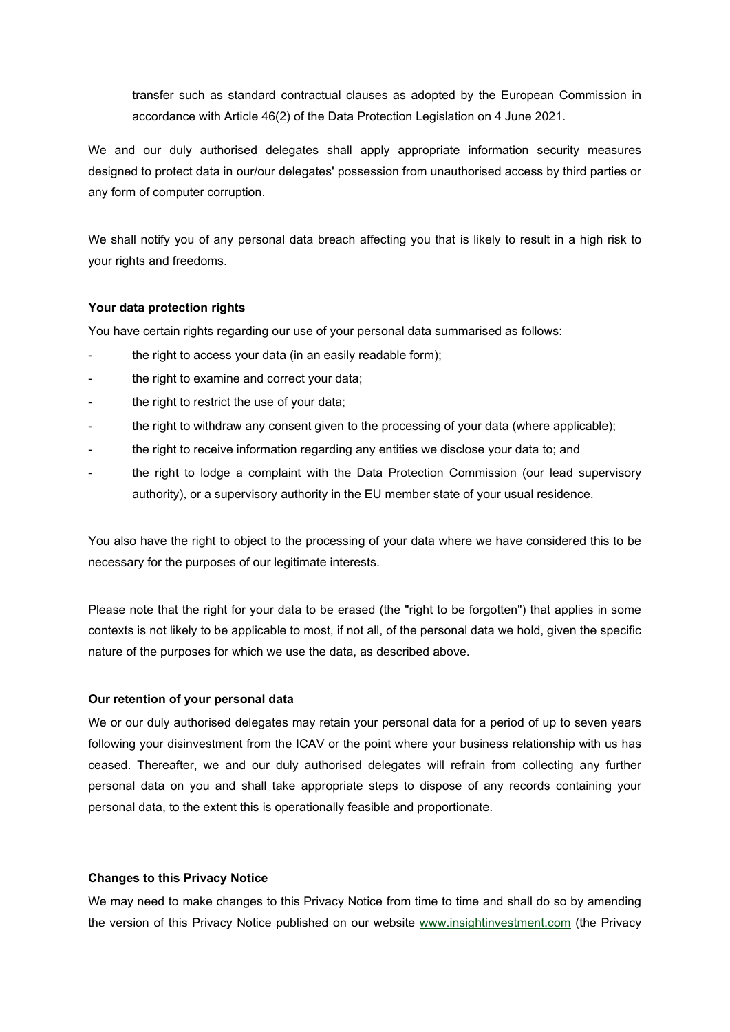transfer such as standard contractual clauses as adopted by the European Commission in accordance with Article 46(2) of the Data Protection Legislation on 4 June 2021.

We and our duly authorised delegates shall apply appropriate information security measures designed to protect data in our/our delegates' possession from unauthorised access by third parties or any form of computer corruption.

We shall notify you of any personal data breach affecting you that is likely to result in a high risk to your rights and freedoms.

## **Your data protection rights**

You have certain rights regarding our use of your personal data summarised as follows:

- the right to access your data (in an easily readable form);
- the right to examine and correct your data;
- the right to restrict the use of your data;
- the right to withdraw any consent given to the processing of your data (where applicable);
- the right to receive information regarding any entities we disclose your data to; and
- the right to lodge a complaint with the Data Protection Commission (our lead supervisory authority), or a supervisory authority in the EU member state of your usual residence.

You also have the right to object to the processing of your data where we have considered this to be necessary for the purposes of our legitimate interests.

Please note that the right for your data to be erased (the "right to be forgotten") that applies in some contexts is not likely to be applicable to most, if not all, of the personal data we hold, given the specific nature of the purposes for which we use the data, as described above.

#### **Our retention of your personal data**

We or our duly authorised delegates may retain your personal data for a period of up to seven years following your disinvestment from the ICAV or the point where your business relationship with us has ceased. Thereafter, we and our duly authorised delegates will refrain from collecting any further personal data on you and shall take appropriate steps to dispose of any records containing your personal data, to the extent this is operationally feasible and proportionate.

## **Changes to this Privacy Notice**

We may need to make changes to this Privacy Notice from time to time and shall do so by amending the version of this Privacy Notice published on our website [www.insightinvestment.com](http://www.insightinvestment.com/) (the Privacy